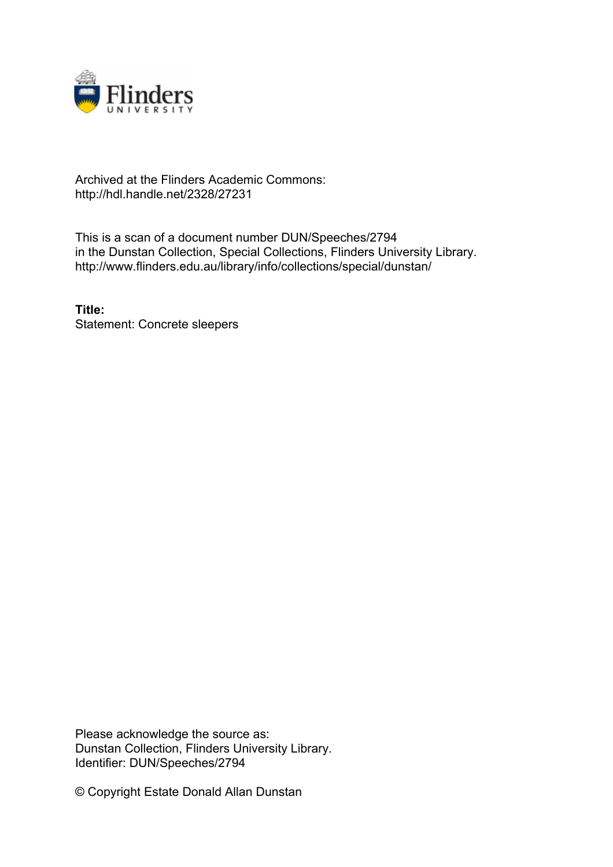

## Archived at the Flinders Academic Commons: http://hdl.handle.net/2328/27231

This is a scan of a document number DUN/Speeches/2794 in the Dunstan Collection, Special Collections, Flinders University Library. http://www.flinders.edu.au/library/info/collections/special/dunstan/

**Title:** Statement: Concrete sleepers

Please acknowledge the source as: Dunstan Collection, Flinders University Library. Identifier: DUN/Speeches/2794

© Copyright Estate Donald Allan Dunstan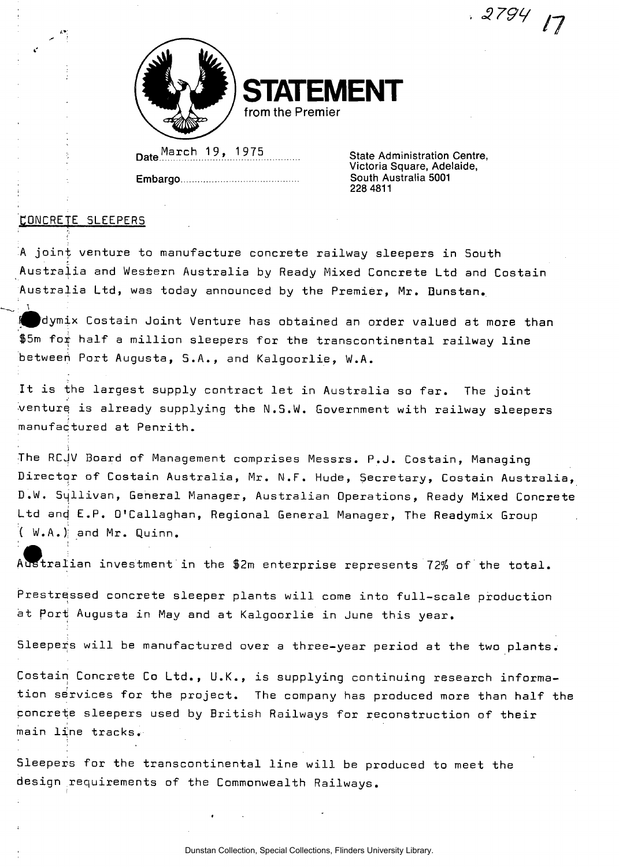**STATEMENT** 

from the Premier

Date arch . . 1 . 9 . . 1 97 5

Embargo South Australia 5001

 State Administration Centre, Victoria Square, Adelaide, 228 4811

*. 379<sup>L</sup>*

*n /* 

## CONCRETE SLEEPERS

 $\cdot$  1

• ^

A joint venture to manufacture concrete railway sleepers in South Australia and Western Australia by Ready Mixed Concrete Ltd and Costain Australia Ltd, was today announced by the Premier, Mr. Dunstan.

I dymix Costain Joint Venture has obtained an order valued at more than  $$5m$  for half a million sleepers for the transcontinental railway line between) Port Augusta, 5. A., and Kalgoorlie, W.A.

It is the largest supply contract let in Australia so far. The joint venture is already supplying the N.S.W. Government with railway sleepers manufactured at Penrith.

The RCJV Board of Management comprises Messrs. P.J. Costain, Managing Director of Costain Australia, Mr. N.F. Hude, Secretary, Costain Australia, D.W. Syllivan, General Manager, Australian Operations, Ready Mixed Concrete Ltd and E.P. O'Callaghan, Regional General Manager, The Readymix Group  $(W.A.)$  and Mr. Quinn.

Australian investment in the \$2m enterprise represents 12% of the total.

Prestressed concrete sleeper plants will come into full-scale production at Port Augusta in May and at Kalgoorlie in June this year.

Sleepers will be manufactured over a three-year period at the two plants.

Costain Concrete Co Ltd., U.K., is supplying continuing research information services for the project. The company has produced more than half the concrete sleepers used by British Railways for reconstruction of their main line tracks.

Sleepers for the transcontinental line will be produced to meet the design requirements of the Commonwealth Railways.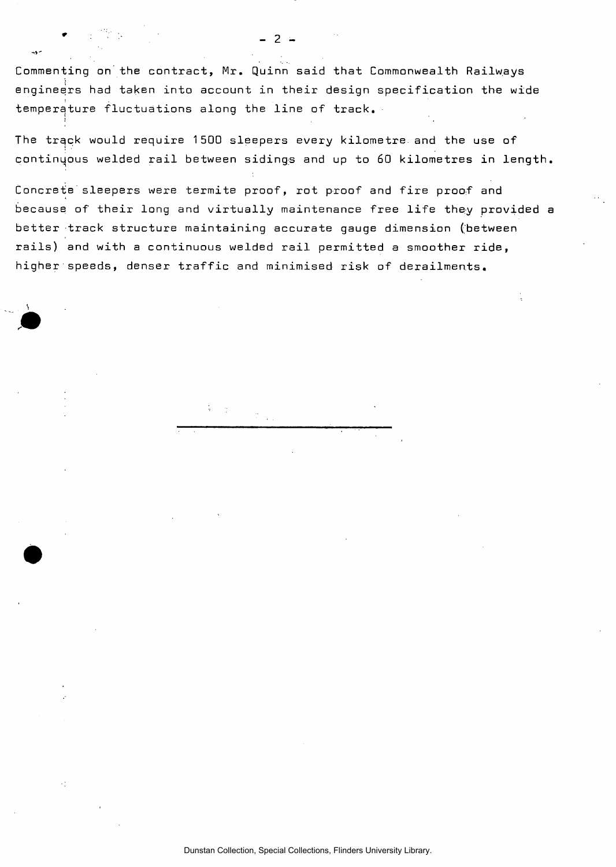Commenting on the contract, Mr. Quinn said that Commonwealth Railways engineers had taken into account in their design specification the wide temperature fluctuations along the line of track.

The track would require 1500 sleepers every kilometre and the use of continuous welded rail between sidings and up to 60 kilometres in length

Concrete sleepers were termite proof, rot proof and fire proof and because of their long and virtually maintenance free life they provided a better track structure maintaining accurate gauge dimension (between rails) and with a continuous welded rail permitted a smoother ride, higher speeds, denser traffic and minimised risk of derailments.

\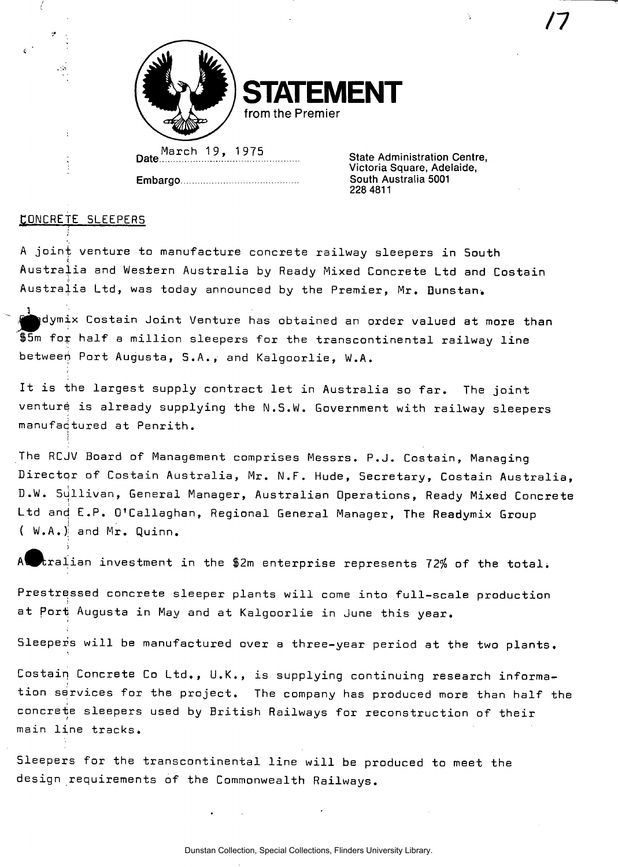

**STATEMENT**  from the Premier

March 19, 1975 Date:

Embargo.

State Administration Centre, Victoria Square, Adelaide, South Australia 5001 228 4811

## CONCRETE SLEEPERS

, in

A joint venture to manufacture concrete railway sleepers in South Australia and Western Australia by Ready Mixed Concrete Ltd and Costain Australia Ltd, was today announced by the Premier, Mr. Dunstan.

1 ; . . . <u>.</u>  $\overline{\mathcal{A}}$  , which is a obtained at more than  $\overline{\mathcal{A}}$  , where the more than  $\overline{\mathcal{A}}$  $\$$ 5m for half a million sleepers for the transcontinental railway line betweeh Port Augusta, S.A., and Kalgoorlie, W.A.

It is the largest supply contract let in Australia so far. The joint venture is already supplying the N.S.W. Government with railway sleepers manufacjtured at Penrith.

The RCJV Board of Management comprises Messrs. P.J. Costain, Managing Director of Costain Australia, Mr. N.F. Hude, Secretary, Costain Australia, D.W. Sullivan, General Manager, Australian Operations, Ready Mixed Concrete Ltd and E.P. O'Callaghan, Regional General Manager, The Readymix Group ( W.A. ); and Mr. Quinn.

 ${\tt train}$  investment in the \$2m enterprise represents 72% of the total.

Prestressed concrete sleeper plants will come into full-scale production at Port Augusta in May and at Kalgoorlie in June this year.

Sleepers will be manufactured over a three-year period at the two plants.

Costain Concrete Co Ltd., U.K., is supplying continuing research information services for the project. The company has produced more than half the concrete sleepers used by British Railways for reconstruction of their main line tracks.

Sleepers for the transcontinental line will be produced to meet the design requirements of the Commonwealth Railways.